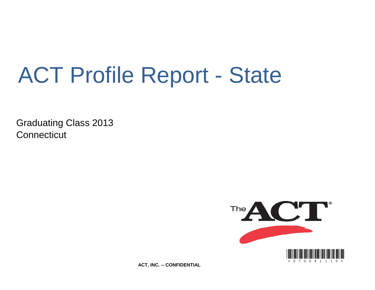# ACT Profile Report - State

Graduating Class 2013 **Connecticut** 



**ACT, INC. -- CONFIDENTIAL**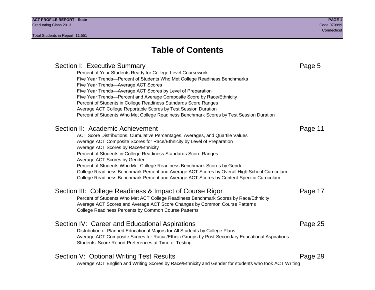# **Table of Contents**

# Section I: Executive Summary **Page 5** and the section I: Executive Summary Percent of Your Students Ready for College-Level Coursework Five Year Trends—Percent of Students Who Met College Readiness Benchmarks Five Year Trends—Average ACT Scores Five Year Trends—Average ACT Scores by Level of Preparation Five Year Trends—Percent and Average Composite Score by Race/Ethnicity Percent of Students in College Readiness Standards Score Ranges Average ACT College Reportable Scores by Test Session Duration Percent of Students Who Met College Readiness Benchmark Scores by Test Session Duration Section II: Academic Achievement **Page 11** Page 11 ACT Score Distributions, Cumulative Percentages, Averages, and Quartile Values Average ACT Composite Scores for Race/Ethnicity by Level of Preparation Average ACT Scores by Race/Ethnicity Percent of Students in College Readiness Standards Score Ranges Average ACT Scores by Gender Percent of Students Who Met College Readiness Benchmark Scores by Gender College Readiness Benchmark Percent and Average ACT Scores by Overall High School Curriculum College Readiness Benchmark Percent and Average ACT Scores by Content-Specific Curriculum Section III: College Readiness & Impact of Course Rigor Page 17 Percent of Students Who Met ACT College Readiness Benchmark Scores by Race/Ethnicity Average ACT Scores and Average ACT Score Changes by Common Course Patterns College Readiness Percents by Common Course Patterns Section IV: Career and Educational Aspirations **Page 25** Page 25 Distribution of Planned Educational Majors for All Students by College Plans Average ACT Composite Scores for Racial/Ethnic Groups by Post-Secondary Educational Aspirations Students' Score Report Preferences at Time of Testing Section V: Optional Writing Test Results **Page 29** Page 29 Average ACT English and Writing Scores by Race/Ethnicity and Gender for students who took ACT Writing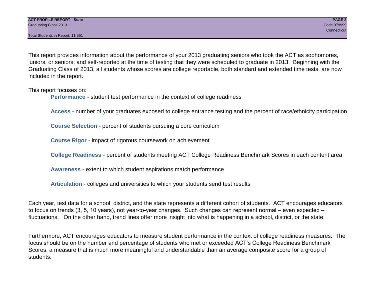Total Students in Report: 11,551

This report provides information about the performance of your 2013 graduating seniors who took the ACT as sophomores, juniors, or seniors; and self-reported at the time of testing that they were scheduled to graduate in 2013. Beginning with the Graduating Class of 2013, all students whose scores are college reportable, both standard and extended time tests, are now included in the report.

This report focuses on:

**Performance** - student test performance in the context of college readiness

**Access** - number of your graduates exposed to college entrance testing and the percent of race/ethnicity participation

**Course Selection** - percent of students pursuing a core curriculum

**Course Rigor** - impact of rigorous coursework on achievement

**College Readiness** - percent of students meeting ACT College Readiness Benchmark Scores in each content area

**Awareness** - extent to which student aspirations match performance

**Articulation** - colleges and universities to which your students send test results

Each year, test data for a school, district, and the state represents a different cohort of students. ACT encourages educators to focus on trends (3, 5, 10 years), not year-to-year changes. Such changes can represent normal – even expected – fluctuations. On the other hand, trend lines offer more insight into what is happening in a school, district, or the state.

Furthermore, ACT encourages educators to measure student performance in the context of college readiness measures. The focus should be on the number and percentage of students who met or exceeded ACT's College Readiness Benchmark Scores, a measure that is much more meaningful and understandable than an average composite score for a group of students.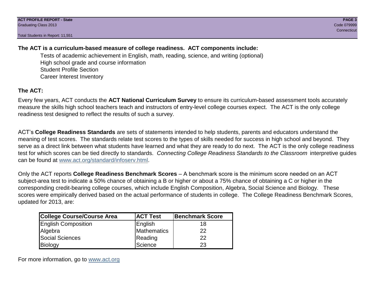Total Students in Report: 11,551

# **The ACT is a curriculum-based measure of college readiness. ACT components include:**

Tests of academic achievement in English, math, reading, science, and writing (optional) High school grade and course information Student Profile Section Career Interest Inventory

# **The ACT:**

Every few years, ACT conducts the **ACT National Curriculum Survey** to ensure its curriculum-based assessment tools accurately measure the skills high school teachers teach and instructors of entry-level college courses expect. The ACT is the only college readiness test designed to reflect the results of such a survey.

ACT's **College Readiness Standards** are sets of statements intended to help students, parents and educators understand the meaning of test scores. The standards relate test scores to the types of skills needed for success in high school and beyond. They serve as a direct link between what students have learned and what they are ready to do next. The ACT is the only college readiness test for which scores can be tied directly to standards. *Connecting College Readiness Standards to the Classroom* interpretive guides can be found at www.act.org/standard/infoserv.html.

Only the ACT reports **College Readiness Benchmark Scores** – A benchmark score is the minimum score needed on an ACT subject-area test to indicate a 50% chance of obtaining a B or higher or about a 75% chance of obtaining a C or higher in the corresponding credit-bearing college courses, which include English Composition, Algebra, Social Science and Biology. These scores were empirically derived based on the actual performance of students in college. The College Readiness Benchmark Scores, updated for 2013, are:

| College Course/Course Area | <b>ACT Test</b> | <b>Benchmark Score</b> |
|----------------------------|-----------------|------------------------|
| <b>English Composition</b> | English         | 18                     |
| Algebra                    | Mathematics     | 22                     |
| <b>Social Sciences</b>     | Reading         | 22                     |
| Biology                    | Science         | 23                     |

For more information, go to www.act.org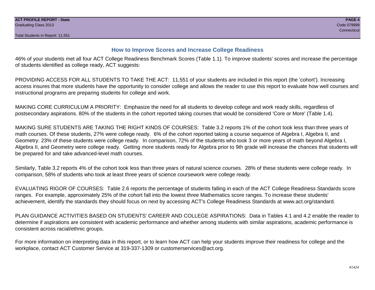# **How to Improve Scores and Increase College Readiness**

46% of your students met all four ACT College Readiness Benchmark Scores (Table 1.1). To improve students' scores and increase the percentage of students identified as college ready, ACT suggests:

PROVIDING ACCESS FOR ALL STUDENTS TO TAKE THE ACT: 11,551 of your students are included in this report (the 'cohort'). Increasing access insures that more students have the opportunity to consider college and allows the reader to use this report to evaluate how well courses and instructional programs are preparing students for college and work.

MAKING CORE CURRICULUM A PRIORITY: Emphasize the need for all students to develop college and work ready skills, regardless of postsecondary aspirations. 80% of the students in the cohort reported taking courses that would be considered 'Core or More' (Table 1.4).

MAKING SURE STUDENTS ARE TAKING THE RIGHT KINDS OF COURSES: Table 3.2 reports 1% of the cohort took less than three years of math courses. Of these students, 27% were college ready. 6% of the cohort reported taking a course sequence of Algebra I, Algebra II, and Geometry. 23% of these students were college ready. In comparison, 72% of the students who took 3 or more years of math beyond Algebra I, Algebra II, and Geometry were college ready. Getting more students ready for Algebra prior to 9th grade will increase the chances that students will be prepared for and take advanced-level math courses.

Similarly, Table 3.2 reports 4% of the cohort took less than three years of natural science courses. 28% of these students were college ready. In comparison, 58% of students who took at least three years of science coursework were college ready.

EVALUATING RIGOR OF COURSES: Table 2.6 reports the percentage of students falling in each of the ACT College Readiness Standards score ranges. For example, approximately 25% of the cohort fall into the lowest three Mathematics score ranges. To increase these students' achievement, identify the standards they should focus on next by accessing ACT's College Readiness Standards at www.act.org/standard.

PLAN GUIDANCE ACTIVITIES BASED ON STUDENTS' CAREER AND COLLEGE ASPIRATIONS: Data in Tables 4.1 and 4.2 enable the reader to determine if aspirations are consistent with academic performance and whether among students with similar aspirations, academic performance is consistent across racial/ethnic groups.

For more information on interpreting data in this report, or to learn how ACT can help your students improve their readiness for college and the workplace, contact ACT Customer Service at 319-337-1309 or customerservices@act.org.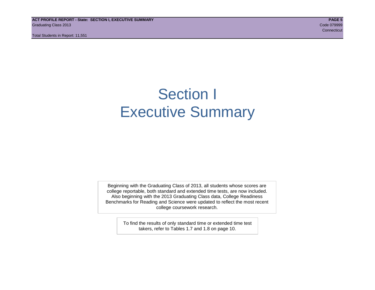**ACT PROFILE REPORT - State: SECTION I, EXECUTIVE SUMMARY PAGE 5** Graduating Class 2013 Code 079999

Total Students in Report: 11,551

**Connecticut** Connecticut Connecticut Connecticut Connecticut Connecticut Connecticut Connecticut

# Section I Executive Summary

Beginning with the Graduating Class of 2013, all students whose scores are college reportable, both standard and extended time tests, are now included. Also beginning with the 2013 Graduating Class data, College Readiness Benchmarks for Reading and Science were updated to reflect the most recent college coursework research.

> To find the results of only standard time or extended time test takers, refer to Tables 1.7 and 1.8 on page 10.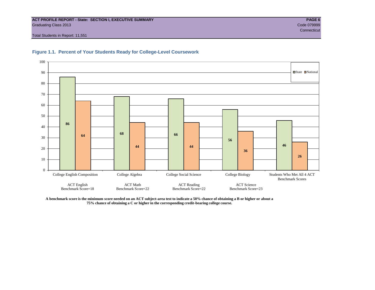#### **ACT PROFILE REPORT - State: SECTION I, EXECUTIVE SUMMARY PAGE 6** Graduating Class 2013 Code 079999

Total Students in Report: 11,551



#### **Figure 1.1. Percent of Your Students Ready for College-Level Coursework**

**A benchmark score is the minimum score needed on an ACT subject-area test to indicate a 50% chance of obtaining a B or higher or about a 75% chance of obtaining a C or higher in the corresponding credit-bearing college course.**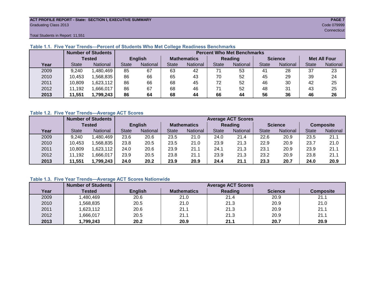#### **ACT PROFILE REPORT - State: SECTION I, EXECUTIVE SUMMARY PAGE 7** Graduating Class 2013 Code 079999

**Connecticut** Connecticut Connecticut Connecticut Connecticut Connecticut Connecticut Connecticut Connecticut Con

Total Students in Report: 11,551

|      | <b>Number of Students</b> |                 |              |                   | <b>Percent Who Met Benchmarks</b> |                    |              |          |    |                |                     |          |  |  |
|------|---------------------------|-----------------|--------------|-------------------|-----------------------------------|--------------------|--------------|----------|----|----------------|---------------------|----------|--|--|
|      |                           | <b>Tested</b>   |              | <b>English</b>    |                                   | <b>Mathematics</b> | Reading      |          |    | <b>Science</b> | <b>Met All Four</b> |          |  |  |
| Year | <b>State</b>              | <b>National</b> | <b>State</b> | National<br>State |                                   | National           | <b>State</b> | National |    | National       | <b>State</b>        | National |  |  |
| 2009 | 9,240                     | .480,469        | 85           | 67                | 63                                | 42                 | 71           | 53       | 41 | 28             | 37                  | 23       |  |  |
| 2010 | 10,453                    | ,568,835        | 86           | 66                | 65                                | 43                 | 70           | 52       | 45 | 29             | 39                  | 24       |  |  |
| 2011 | 10,809                    | .623,112        | 86           | 66                | 68                                | 45                 | 72           | 52       | 46 | 30             | 42                  | 25       |  |  |
| 2012 | 11,192                    | .666,017        | 86           | 67                | 68                                | 46                 |              | 52       | 48 | 31             | 43                  | 25       |  |  |
| 2013 | 11,551                    | 1,799,243       | 86           | 64                | 68                                | 44                 | 66           | 44       | 56 | 36             | 46                  | 26       |  |  |

# **Table 1.1. Five Year Trends—Percent of Students Who Met College Readiness Benchmarks**

#### **Table 1.2. Five Year Trends—Average ACT Scores**

|      |              | <b>Number of Students</b> |              |                   | <b>Average ACT Scores</b> |                    |              |                 |      |                |                  |          |  |  |
|------|--------------|---------------------------|--------------|-------------------|---------------------------|--------------------|--------------|-----------------|------|----------------|------------------|----------|--|--|
|      |              | Tested                    |              | <b>English</b>    |                           | <b>Mathematics</b> |              | <b>Reading</b>  |      | <b>Science</b> | <b>Composite</b> |          |  |  |
| Year | <b>State</b> | <b>National</b>           | <b>State</b> | National<br>State |                           | National           | <b>State</b> | <b>National</b> |      | National       | <b>State</b>     | National |  |  |
| 2009 | 9,240        | .480,469                  | 23.6         | 20.6              | 23.5                      | 21.0               | 24.0         | 21.4            | 22.6 | 20.9           | 23.5             | 21.1     |  |  |
| 2010 | 10,453       | .568.835                  | 23.8         | 20.5              | 23.5                      | 21.0               | 23.9         | 21.3            | 22.9 | 20.9           | 23.7             | 21.0     |  |  |
| 2011 | 10.809       | .623,112                  | 24.0         | 20.6              | 23.9                      | 21.1               | 24.1         | 21.3            | 23.1 | 20.9           | 23.9             | 21.1     |  |  |
| 2012 | 11,192       | .666,017                  | 23.9         | 20.5              | 23.8                      | 21.1               | 23.9         | 21.3            | 23.2 | 20.9           | 23.8             | 21.1     |  |  |
| 2013 | 11,551       | 1,799,243                 | 24.0         | 20.2              | 23.9                      | 20.9               | 24.4         | 21.1            | 23.3 | 20.7           | 24.0             | 20.9     |  |  |

# **Table 1.3. Five Year Trends—Average ACT Scores Nationwide**

|      | <b>Number of Students</b> |                |                    | <b>Average ACT Scores</b> |                |                  |
|------|---------------------------|----------------|--------------------|---------------------------|----------------|------------------|
| Year | Tested                    | <b>English</b> | <b>Mathematics</b> | Reading                   | <b>Science</b> | <b>Composite</b> |
| 2009 | ,480,469                  | 20.6           | 21.0               | 21.4                      | 20.9           | 21.1             |
| 2010 | ,568,835                  | 20.5           | 21.0               | 21.3                      | 20.9           | 21.0             |
| 2011 | ,623,112                  | 20.6           | 21.1               | 21.3                      | 20.9           | 21.1             |
| 2012 | ,666,017                  | 20.5           | 21.1               | 21.3                      | 20.9           | 21.1             |
| 2013 | 1,799,243                 | 20.2           | 20.9               | 21.1                      | 20.7           | 20.9             |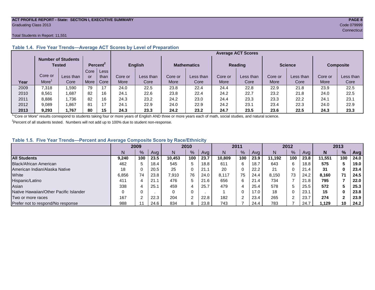#### **ACT PROFILE REPORT - State: SECTION I, EXECUTIVE SUMMARY PAGE 8** Graduating Class 2013 Code 079999

#### Total Students in Report: 11,551

|      |         |                                            |      |                      |         | <b>Average ACT Scores</b> |         |                    |         |                |         |                |                  |           |  |  |
|------|---------|--------------------------------------------|------|----------------------|---------|---------------------------|---------|--------------------|---------|----------------|---------|----------------|------------------|-----------|--|--|
|      |         | <b>Number of Students</b><br><b>Tested</b> |      | Percent <sup>2</sup> |         | <b>English</b>            |         | <b>Mathematics</b> |         | <b>Reading</b> |         | <b>Science</b> | <b>Composite</b> |           |  |  |
|      |         |                                            | Core | Less                 |         |                           |         |                    |         |                |         |                |                  |           |  |  |
|      | Core or | Less than                                  | or   | than                 | Core or | Less than                 | Core or | Less than          | Core or | Less than      | Core or | Less than      | Core or          | Less than |  |  |
| Year | More    | Core                                       | More | Core                 | More    | Core                      | More    | Core               | More    | Core           | More    | Core           | More             | Core      |  |  |
| 2009 | 7,318   | .590                                       | 79   | 17                   | 24.0    | 22.5                      | 23.8    | 22.4               | 24.4    | 22.8           | 22.9    | 21.8           | 23.9             | 22.5      |  |  |
| 2010 | 8,561   | .687                                       | 82   | 16                   | 24.1    | 22.6                      | 23.8    | 22.4               | 24.2    | 22.7           | 23.2    | 21.8           | 24.0             | 22.5      |  |  |
| 2011 | 8,886   | .736                                       | 82   | 16                   | 24.3    | 23.2                      | 24.2    | 23.0               | 24.4    | 23.3           | 23.3    | 22.2           | 24.7             | 23.1      |  |  |
| 2012 | 9,089   | .867                                       | 81   | 17                   | 24.1    | 22.9                      | 24.0    | 22.9               | 24.2    | 23.1           | 23.4    | 22.3           | 24.0             | 22.9      |  |  |
| 2013 | 9,293   | .767                                       | 80   | 15                   | 24.3    | 23.3                      | 24.2    | 23.2               | 24.7    | 23.5           | 23.6    | 22.5           | 24.3             | 23.3      |  |  |

# **Table 1.4. Five Year Trends—Average ACT Scores by Level of Preparation**

<sup>1</sup>"Core or More" results correspond to students taking four or more years of English AND three or more years each of math, social studies, and natural science.

 $2$ Percent of all students tested. Numbers will not add up to 100% due to student non-response.

### **Table 1.5. Five Year Trends—Percent and Average Composite Score by Race/Ethnicity**

|                                        |       | 2009 |      |        | 2010          |      |        | 2011   |      |        | 2012 |      |        | 2013 |      |
|----------------------------------------|-------|------|------|--------|---------------|------|--------|--------|------|--------|------|------|--------|------|------|
|                                        | N     | $\%$ | Avg  | N      | $\frac{9}{6}$ | Avg  | N      | %      | Avg  | Ν      | %    | Ava  | N      | %    | Avg  |
| <b>All Students</b>                    | 9.240 | 100  | 23.5 | 10.453 | 100           | 23.7 | 10.809 | 100    | 23.9 | 11.192 | 100  | 23.8 | 11.551 | 100  | 24.0 |
| Black/African American                 | 462   |      | 18.4 | 545    | 5             | 18.8 | 611    | 6      | 18.7 | 643    | 6    | 18.8 | 575    |      | 19.0 |
| American Indian/Alaska Native          | 18    |      | 20.5 | 25     | 0             | 21.1 | 20     | 0      | 22.2 | 21     |      | 21.4 | 31     | 0    | 23.4 |
| White                                  | 6,856 | 74   | 23.8 | 7,910  | 76            | 24.0 | 8,117  | 75     | 24.4 | 8.150  | 73   | 24.2 | 8.160  | 71   | 24.5 |
| Hispanic/Latino                        | 411   |      | 21.7 | 476    | 5             | 21.6 | 656    | 6      | 21.4 | 734    |      | 21.8 | 795    |      | 22.0 |
| Asian                                  | 338   |      | 25.7 | 459    | 4             | 25.7 | 479    | 4      | 25.4 | 578    | 5    | 25.5 | 572    |      | 25.3 |
| Native Hawaiian/Other Pacific Islander |       |      |      | 0      | 0             |      |        | 0      | 17.0 | 18     |      | 23.7 | 15     | 0    | 23.8 |
| Two or more races                      | 167   |      | 22.3 | 204    | ົ             | 22.8 | 182    | $\sim$ | 23.4 | 265    | ົ    | 23.7 | 274    | ◠    | 23.9 |
| Prefer not to respond/No response      | 988   |      | 24.6 | 834    | 8             | 23.8 | 743    |        | 24.4 | 783    |      | 24.7 | 1,129  | 10   | 24.2 |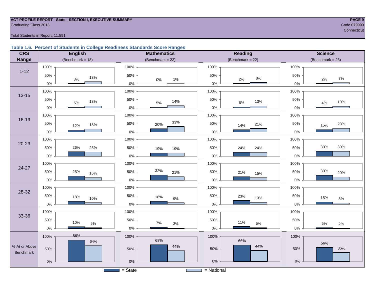#### **ACT PROFILE REPORT - State: SECTION I, EXECUTIVE SUMMARY PAGE 9 Graduating Class 2013** Code 079999 Code 079999

**Connecticut** Connecticut Connecticut Connecticut Connecticut Connecticut Connecticut Connecticut Connecticut Con

Total Students in Report: 11,551

### **Table 1.6. Percent of Students in College Readiness Standards Score Ranges**

| <b>CRS</b>       |              | <b>English</b>      |           | <b>Mathematics</b>  |       |                                                  | Reading            |       | <b>Science</b>      |
|------------------|--------------|---------------------|-----------|---------------------|-------|--------------------------------------------------|--------------------|-------|---------------------|
| Range            |              | (Benchmark = $18$ ) |           | (Benchmark = $22$ ) |       |                                                  | $(Benchmark = 22)$ |       | (Benchmark = $23$ ) |
|                  | 100%         |                     | 100%      |                     |       | 100%                                             |                    | 100%  |                     |
| $1 - 12$         | 50%<br>3%    | 13%                 | 50%       | $0\%$               | $1\%$ | 50%                                              | $8\%$<br>2%        | 50%   | 7%<br>2%            |
|                  | $0\%$        |                     | $0\%$     |                     |       | $0\%$                                            |                    | 0%    |                     |
| $13 - 15$        | 100%         |                     | 100%      |                     |       | 100%                                             |                    | 100%  |                     |
|                  | 50%<br>$5\%$ | 13%                 | 50%       | 5%                  | 14%   | 50%                                              | 13%<br>$6\%$       | 50%   | 10%<br>$4\%$        |
|                  | $0\%$        |                     | $0\%$     |                     |       | $0\%$                                            |                    | $0\%$ |                     |
| $16 - 19$        | 100%         |                     | 100%      |                     |       | 100%                                             |                    | 100%  |                     |
|                  | 50%<br>12%   | 18%                 | 50%       | 20%                 | 33%   | 50%                                              | 21%<br>14%         | 50%   | 23%<br>15%          |
|                  | $0\%$        |                     | $0\%$     |                     |       | $0\%$                                            |                    | $0\%$ |                     |
| $20 - 23$        | 100%         |                     | 100%      |                     |       | 100%                                             |                    | 100%  |                     |
|                  | 50%<br>26%   | 25%                 | 50%       | 19%                 | 19%   | 50%                                              | 24%<br>24%         | 50%   | 30%<br>30%          |
|                  | $0\%$        |                     | 0%        |                     |       | $0\%$                                            |                    | 0%    |                     |
|                  | 100%         |                     | 100%      |                     |       | 100%                                             |                    | 100%  |                     |
| 24-27            | 50%<br>25%   | 16%                 | 50%       | 32%                 | 21%   | 50%                                              | 21%<br>15%         | 50%   | 30%<br>20%          |
|                  | $0\%$        |                     | 0%        |                     |       | $0\%$                                            |                    | $0\%$ |                     |
| 28-32            | 100%         |                     | 100%      |                     |       | 100%                                             |                    | 100%  |                     |
|                  | 50%<br>18%   | 10%                 | 50%       | 18%                 | $9\%$ | 50%                                              | 23%<br>13%         | 50%   | 15%<br>$8\%$        |
|                  | $0\%$        |                     | $0\%$     |                     |       | $0\%$                                            |                    | $0\%$ |                     |
| 33-36            | 100%         |                     | 100%      |                     |       | 100%                                             |                    | 100%  |                     |
|                  | 50%<br>10%   | $5\%$               | 50%       | $7\%$               | $3%$  | 50%                                              | 11%<br>$5\%$       | 50%   | 5%<br>2%            |
|                  | $0\%$        |                     | $0\%$     |                     |       | $0\%$                                            |                    | $0\%$ |                     |
|                  | 86%<br>100%  |                     | 100%      |                     |       | 100%                                             |                    | 100%  |                     |
| % At or Above    |              | 64%                 |           | 68%                 | 44%   |                                                  | 66%<br>44%         |       | 56%                 |
| <b>Benchmark</b> | 50%          |                     | 50%       |                     |       | 50%                                              |                    | 50%   | 36%                 |
|                  | $0\%$        |                     | $0\%$     |                     |       | $0\%$                                            |                    | $0\%$ |                     |
|                  |              |                     | $=$ State |                     |       | = National<br><u> Time and the second second</u> |                    |       |                     |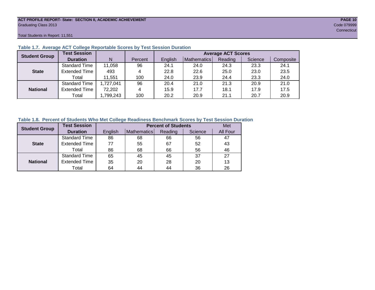#### **ACT PROFILE REPORT- State: SECTION II, ACADEMIC ACHIEVEMENT PAGE 10** Graduating Class 2013 Code 079999

Total Students in Report: 11,551

| <b>Student Group</b> | <b>Test Session</b>  |           |         | <b>Average ACT Scores</b> |             |         |         |           |  |  |  |  |  |
|----------------------|----------------------|-----------|---------|---------------------------|-------------|---------|---------|-----------|--|--|--|--|--|
|                      | <b>Duration</b>      | N         | Percent | English                   | Mathematics | Reading | Science | Composite |  |  |  |  |  |
|                      | <b>Standard Time</b> | 11,058    | 96      | 24.1                      | 24.0        | 24.3    | 23.3    | 24.1      |  |  |  |  |  |
| <b>State</b>         | <b>Extended Time</b> | 493       | 4       | 22.8                      | 22.6        | 25.0    | 23.0    | 23.5      |  |  |  |  |  |
|                      | Total                | 11.551    | 100     | 24.0                      | 23.9        | 24.4    | 23.3    | 24.0      |  |  |  |  |  |
|                      | <b>Standard Time</b> | 1,727,041 | 96      | 20.4                      | 21.0        | 21.3    | 20.9    | 21.0      |  |  |  |  |  |
| <b>National</b>      | <b>Extended Time</b> | 72,202    | 4       | 15.9                      | 17.7        | 18.1    | 17.9    | 17.5      |  |  |  |  |  |
|                      | Total                | ,799,243  | 100     | 20.2                      | 20.9        | 21.1    | 20.7    | 20.9      |  |  |  |  |  |

#### **Table 1.7. Average ACT College Reportable Scores by Test Session Duration**

### **Table 1.8. Percent of Students Who Met College Readiness Benchmark Scores by Test Session Duration**

| <b>Student Group</b> | <b>Test Session</b>  |         | <b>Percent of Students</b> | Met     |         |          |
|----------------------|----------------------|---------|----------------------------|---------|---------|----------|
|                      | <b>Duration</b>      | English | Mathematics                | Reading | Science | All Four |
|                      | <b>Standard Time</b> | 86      | 68                         | 66      | 56      | 47       |
| <b>State</b>         | <b>Extended Time</b> | 77      | 55                         | 67      | 52      | 43       |
|                      | Total                | 86      | 68                         | 66      | 56      | 46       |
|                      | <b>Standard Time</b> | 65      | 45                         | 45      | 37      | 27       |
| <b>National</b>      | <b>Extended Time</b> | 35      | 20                         | 28      | 20      | 13       |
|                      | Total                | 64      | 44                         | 44      | 36      | 26       |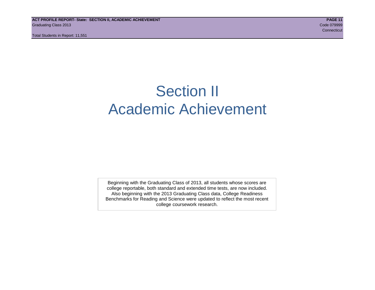# Section II Academic Achievement

Beginning with the Graduating Class of 2013, all students whose scores are college reportable, both standard and extended time tests, are now included. Also beginning with the 2013 Graduating Class data, College Readiness Benchmarks for Reading and Science were updated to reflect the most recent college coursework research.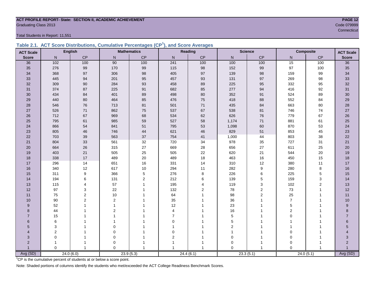#### **ACT PROFILE REPORT- State: SECTION II, ACADEMIC ACHIEVEMENT PAGE 12 Graduating Class 2013** Code 079999

Total Students in Report: 11,551

|  | Table 2.1. ACT Score Distributions, Cumulative Percentages (CP <sup>1</sup> ), and Score Averages |  |  |  |
|--|---------------------------------------------------------------------------------------------------|--|--|--|
|  |                                                                                                   |  |  |  |

| <b>ACT Scale</b> |                         | <b>English</b> |                | <b>Mathematics</b> |                  | Reading        |                | <b>Science</b> |                | <b>Composite</b><br><b>ACT Scale</b> |                 |
|------------------|-------------------------|----------------|----------------|--------------------|------------------|----------------|----------------|----------------|----------------|--------------------------------------|-----------------|
| <b>Score</b>     | N                       | CP             | N              | CP                 | N                | CP             | N              | CP             | N              | CP                                   | <b>Score</b>    |
| 36               | $\frac{102}{ }$         | 100            | 90             | 100                | 241              | 100            | 100            | 100            | 15             | 100                                  | $\overline{36}$ |
| 35               | 276                     | 99             | 170            | $99\,$             | 115              | 98             | 152            | 99             | 97             | 100                                  | 35              |
| 34               | 368                     | 97             | 306            | $98\,$             | 405              | 97             | 139            | 98             | 159            | 99                                   | 34              |
| 33               | 445                     | 94             | 201            | 95                 | 457              | 93             | 131            | 97             | 269            | 98                                   | 33              |
| 32               | 309                     | 90             | 284            | 93                 | 458              | 89             | 225            | 95             | 332            | 95                                   | 32              |
| 31               | 374                     | 87             | 225            | 91                 | 682              | 85             | 277            | 94             | 416            | 92                                   | 31              |
| 30               | 434                     | 84             | 401            | 89                 | 498              | 80             | 352            | 91             | 524            | 89                                   | 30              |
| 29               | 440                     | 80             | 464            | 85                 | 476              | 75             | 418            | 88             | 552            | 84                                   | 29              |
| 28               | 546                     | 76             | 713            | 81                 | 501              | 71             | 435            | 84             | 663            | 80                                   | 28              |
| 27               | 526                     | 71             | 862            | $75\,$             | 537              | 67             | 538            | 81             | 746            | 74                                   | 27              |
| 26               | 712                     | 67             | 969            | 68                 | 534              | 62             | 626            | 76             | 779            | 67                                   | 26              |
| 25               | 795                     | 61             | 985            | 59                 | 527              | 58             | 1,174          | 71             | 881            | 61                                   | 25              |
| 24               | 866                     | 54             | 841            | 51                 | 795              | 53             | 1,098          | 60             | 870            | 53                                   | 24              |
| 23               | 805                     | 46             | 746            | 44                 | 621              | 46             | 829            | 51             | 853            | 45                                   | 23              |
| 22               | 703                     | 39             | 563            | 37                 | 754              | 41             | 1,000          | 44             | 803            | 38                                   | 22              |
| 21               | 804                     | 33             | 561            | 32                 | 720              | 34             | 978            | 35             | 727            | 31                                   | 21              |
| 20               | 664                     | 26             | 315            | 27                 | 669              | 28             | 656            | 27             | 611            | 25                                   | 20              |
| 19               | 403                     | 21             | 505            | 25                 | 505              | 22             | 620            | 21             | 544            | 20                                   | 19              |
| 18               | 338                     | 17             | 489            | 20                 | 489              | 18             | 463            | 16             | 450            | 15                                   | 18              |
| 17               | 296                     | 14             | 651            | 16                 | 331              | 14             | 310            | 12             | 380            | 11                                   | $17$            |
| 16               | 340                     | 12             | 617            | $10\,$             | 294              | 11             | 282            | 9              | 280            | 8                                    | 16              |
| 15               | 311                     | 9              | 366            | $\sqrt{5}$         | 276              | 8              | 226            | 6              | 225            | 5                                    | 15              |
| 14               | 194                     | 6              | 131            | 2                  | 212              | 6              | 139            | 5              | 159            | 3                                    | 14              |
| 13               | 115                     |                | 57             | $\overline{1}$     | 195              | 4              | 119            | 3              | 102            | $\overline{2}$                       | 13              |
| 12               | 97                      | 3              | 22             |                    | 132              | $\overline{2}$ | 78             | 2              | 73             | $\mathbf{1}$                         | 12              |
| 11               | 75                      | 2              | 10             |                    | 64               | 1              | 98             | $\overline{2}$ | 25             | -1                                   | 11              |
| 10               | 90                      | 2              | $\overline{2}$ |                    | 35               |                | 36             |                | $\overline{7}$ |                                      | $10$            |
| 9                | 52                      |                | 1              |                    | 12               |                | 23             |                | 5              |                                      | 9               |
| 8                | 44                      |                | $\overline{2}$ |                    | 4                |                | 16             |                | 2              |                                      | 8               |
| $\overline{7}$   | 15                      |                | 1              |                    | $\overline{7}$   |                | 5              |                | $\Omega$       |                                      | $\overline{7}$  |
| $6\phantom{1}$   | 6                       |                | 1              |                    | $\mathbf 0$      |                | 5              |                |                |                                      | 6               |
| 5                | 3                       |                | 0              |                    | $\mathbf{1}$     |                | $\overline{2}$ |                |                |                                      | 5               |
| $\overline{4}$   | $\overline{\mathbf{c}}$ |                | 0              |                    | $\mathbf 0$      |                |                |                | 0              |                                      |                 |
| 3                | 0                       |                | 0              |                    | $\boldsymbol{2}$ |                | $\mathbf 0$    |                | $\Omega$       |                                      | 3               |
| $\overline{2}$   |                         |                | 0              |                    |                  |                | 0              | 1              | $\Omega$       |                                      | $\overline{2}$  |
| $\overline{1}$   | $\Omega$                | $\overline{1}$ | $\Omega$       | $\overline{1}$     | $\overline{1}$   | $\overline{ }$ | $\Omega$       | $\mathbf{1}$   | $\Omega$       |                                      |                 |
| Avg (SD)         |                         | 24.0(6.0)      |                | 23.9(5.3)          |                  | 24.4(6.1)      |                | 23.3(5.1)      |                | 24.0(5.1)                            | Avg (SD)        |

<sup>1</sup>CP is the cumulative percent of students at or below a score point.

Note: Shaded portions of columns identify the students who met/exceeded the ACT College Readiness Benchmark Scores.

records and the connecticut of the connecticut of the connecticut of the connecticut of the connecticut of the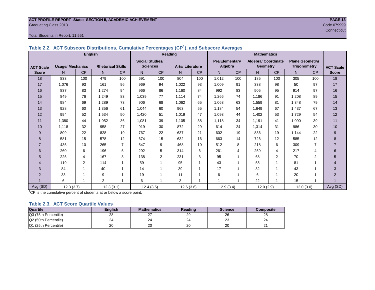#### **ACT PROFILE REPORT- State: SECTION II, ACADEMIC ACHIEVEMENT PAGE 13** Graduating Class 2013 Code 079999

#### Total Students in Report: 11,551

|                  | <b>English</b>          |                |                          |                |                        |                         | Reading                |           |                       |           | <b>Mathematics</b>         |                          |                        |                |                  |
|------------------|-------------------------|----------------|--------------------------|----------------|------------------------|-------------------------|------------------------|-----------|-----------------------|-----------|----------------------------|--------------------------|------------------------|----------------|------------------|
|                  |                         |                |                          |                | <b>Social Studies/</b> |                         |                        |           | <b>Pre/Elementary</b> |           | <b>Algebra/ Coordinate</b> |                          | <b>Plane Geometry/</b> |                |                  |
| <b>ACT Scale</b> | <b>Usage/ Mechanics</b> |                | <b>Rhetorical Skills</b> |                | <b>Sciences</b>        |                         | <b>Arts/Literature</b> |           | Algebra               |           | <b>Geometry</b>            |                          | Trigonometry           |                | <b>ACT Scale</b> |
| <b>Score</b>     | N.                      | CP             | N                        | <b>CP</b>      | N.                     | CP                      | N                      | <b>CP</b> | N.                    | <b>CP</b> | N                          | CP                       | N                      | CP             | <b>Score</b>     |
| 18               | 833                     | 100            | 479                      | 100            | 691                    | 100                     | 804                    | 100       | 1,012                 | 100       | 185                        | 100                      | 305                    | 100            | 18               |
| 17               | 1,076                   | 93             | 161                      | 96             | 969                    | 94                      | 1,022                  | 93        | 1,009                 | 91        | 338                        | 98                       | 50                     | 97             | 17               |
| 16               | 837                     | 83             | 1.274                    | 94             | 966                    | 86                      | 1.160                  | 84        | 992                   | 83        | 505                        | 95                       | 914                    | 97             | 16               |
| 15               | 849                     | 76             | 1.249                    | 83             | 1.039                  | 77                      | 1.114                  | 74        | 1.266                 | 74        | 1.186                      | 91                       | 1.208                  | 89             | 15               |
| 14               | 984                     | 69             | 1.289                    | 73             | 906                    | 68                      | 1.062                  | 65        | 1.063                 | 63        | 1.559                      | 81                       | 1.348                  | 79             | 14               |
| 13               | 928                     | 60             | 1,356                    | 61             | 1,044                  | 60                      | 963                    | 55        | 1,184                 | 54        | 1,649                      | 67                       | 1,437                  | 67             | 13               |
| 12               | 994                     | 52             | 1,534                    | 50             | 1,420                  | 51                      | 1,019                  | 47        | 1,093                 | 44        | 1.402                      | 53                       | 1,729                  | 54             | 12               |
| 11               | 1,380                   | 44             | 1,052                    | 36             | 1,081                  | 39                      | 1,105                  | 38        | 1,118                 | 34        | 1,191                      | 41                       | 1,090                  | 39             | 11               |
| 10               | 1,118                   | 32             | 958                      | 27             | 919                    | 30                      | 872                    | 29        | 614                   | 24        | 1,314                      | 31                       | 986                    | 30             | 10               |
| 9                | 809                     | 22             | 828                      | 19             | 767                    | 22                      | 637                    | 21        | 602                   | 19        | 836                        | 19                       | 1.144                  | 22             | 9                |
| 8                | 581                     | 15             | 578                      | 12             | 674                    | 15                      | 632                    | 16        | 663                   | 14        | 726                        | 12                       | 585                    | 12             | 8                |
| $\overline{7}$   | 435                     | 10             | 265                      | $\overline{7}$ | 547                    | 9                       | 468                    | 10        | 512                   | 8         | 218                        | 6                        | 309                    | $\overline{7}$ | $\overline{7}$   |
| 6                | 260                     | 6              | 196                      | 5              | 292                    | 5                       | 314                    | 6         | 261                   | 4         | 259                        | 4                        | 217                    | 4              | 6                |
| 5                | 225                     | 4              | 167                      | 3              | 138                    | $\overline{2}$          | 231                    | 3         | 95                    | 1         | 68                         | $\overline{2}$           | 70                     | $\overline{2}$ | 5                |
| 4                | 119                     | $\overline{2}$ | 114                      | $\mathbf 1$    | 59                     | $\overline{ }$          | 95                     |           | 43                    | 1         | 55                         | $\overline{ }$           | 81                     | 1              | $\overline{4}$   |
| 3                | 84                      |                | 40                       | 1              | 14                     | $\overline{\mathbf{A}}$ | 39                     |           | 17                    |           | 32                         |                          | 43                     | 1              | 3                |
| $\overline{2}$   | 33                      |                | 9                        | $\overline{ }$ | 19                     | $\overline{ }$          | 11                     |           | 6                     |           | 6                          | $\overline{\phantom{a}}$ | 20                     | 1              | $\overline{2}$   |
|                  | 6                       |                | $\overline{2}$           | -1             | 6                      |                         | 3                      |           |                       |           | 22                         | 1                        | 15                     | 1              |                  |
| Avg (SD)         | 12.3(3.7)               |                | 12.3(3.1)                |                | 12.4(3.5)              |                         | 12.6(3.6)              |           | 12.9(3.4)             |           | 12.0(2.9)                  |                          | 12.0(3.0)              |                | Avg (SD)         |

**Table 2.2. ACT Subscore Distributions, Cumulative Percentages (CP<sup>1</sup> ), and Subscore Averages**

 $1^{\circ}$ CP is the cumulative percent of students at or below a score point.

#### **Table 2.3. ACT Score Quartile Values**

| <b>Quartile</b>      | Enalish | <b>Mathematics</b> | Reading        | <b>Science</b> | Composite |
|----------------------|---------|--------------------|----------------|----------------|-----------|
| Q3 (75th Percentile) | 28      |                    | 29             | 26             | 28        |
| Q2 (50th Percentile) | 24      | 24                 | c.<br>24       | ົດ<br>∠૩       | 24        |
| Q1 (25th Percentile) | 20      | 20                 | $\Omega$<br>۷J | 20             |           |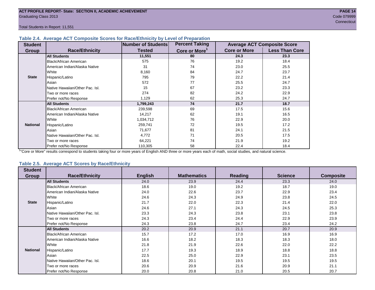Total Students in Report: 11,551

#### **Table 2.4. Average ACT Composite Scores for Race/Ethnicity by Level of Preparation**

| <b>Student</b>  |                                 | Number of Students | <b>Percent Taking</b>     |                     | <b>Average ACT Composite Score</b> |
|-----------------|---------------------------------|--------------------|---------------------------|---------------------|------------------------------------|
| <b>Group</b>    | <b>Race/Ethnicity</b>           | <b>Tested</b>      | Core or More <sup>1</sup> | <b>Core or More</b> | <b>Less Than Core</b>              |
|                 | <b>All Students</b>             | 11,551             | 80                        | 24.3                | 23.3                               |
|                 | Black/African American          | 575                | 76                        | 19.2                | 18.4                               |
|                 | American Indian/Alaska Native   | 31                 | 74                        | 23.0                | 25.5                               |
|                 | White                           | 8,160              | 84                        | 24.7                | 23.7                               |
| <b>State</b>    | Hispanic/Latino                 | 795                | 79                        | 22.2                | 21.4                               |
|                 | Asian                           | 572                | 77                        | 25.5                | 24.7                               |
|                 | Native Hawaiian/Other Pac. Isl. | 15                 | 67                        | 23.2                | 23.3                               |
|                 | Two or more races               | 274                | 82                        | 24.2                | 22.9                               |
|                 | Prefer not/No Response          | 1,129              | 62                        | 25.3                | 24.7                               |
|                 | <b>All Students</b>             | 1,799,243          | 74                        | 21.7                | 18.7                               |
|                 | Black/African American          | 239,598            | 69                        | 17.5                | 15.6                               |
|                 | American Indian/Alaska Native   | 14,217             | 62                        | 19.1                | 16.5                               |
|                 | White                           | 1,034,712          | 76                        | 22.9                | 20.0                               |
| <b>National</b> | Hispanic/Latino                 | 259,741            | 72                        | 19.5                | 17.2                               |
|                 | Asian                           | 71,677             | 81                        | 24.1                | 21.5                               |
|                 | Native Hawaiian/Other Pac. Isl. | 4,772              | 71                        | 20.5                | 17.5                               |
|                 | Two or more races               | 64,221             | 74                        | 21.9                | 19.2                               |
|                 | Prefer not/No Response          | 110,305            | 58                        | 22.4                | 18.4                               |

<sup>1</sup>"Core or More" results correspond to students taking four or more years of English AND three or more years each of math, social studies, and natural science.

### **Table 2.5. Average ACT Scores by Race/Ethnicity**

| <b>Student</b>  |                                 |                |                    |                |                |                  |
|-----------------|---------------------------------|----------------|--------------------|----------------|----------------|------------------|
| Group           | <b>Race/Ethnicity</b>           | <b>English</b> | <b>Mathematics</b> | <b>Reading</b> | <b>Science</b> | <b>Composite</b> |
|                 | <b>All Students</b>             | 24.0           | 23.9               | 24.4           | 23.3           | 24.0             |
|                 | Black/African American          | 18.6           | 19.0               | 19.2           | 18.7           | 19.0             |
|                 | American Indian/Alaska Native   | 24.0           | 22.6               | 23.7           | 22.9           | 23.4             |
|                 | White                           | 24.6           | 24.3               | 24.9           | 23.8           | 24.5             |
| <b>State</b>    | Hispanic/Latino                 | 21.7           | 22.0               | 22.3           | 21.4           | 22.0             |
|                 | Asian                           | 24.6           | 27.1               | 24.3           | 24.5           | 25.3             |
|                 | Native Hawaiian/Other Pac. Isl. | 23.3           | 24.3               | 23.8           | 23.1           | 23.8             |
|                 | Two or more races               | 24.3           | 23.4               | 24.4           | 22.9           | 23.9             |
|                 | Prefer not/No Response          | 24.3           | 23.8               | 24.7           | 23.4           | 24.2             |
|                 | <b>All Students</b>             | 20.2           | 20.9               | 21.1           | 20.7           | 20.9             |
|                 | <b>Black/African American</b>   | 15.7           | 17.2               | 17.0           | 16.9           | 16.9             |
|                 | American Indian/Alaska Native   | 16.6           | 18.2               | 18.3           | 18.3           | 18.0             |
|                 | White                           | 21.8           | 21.9               | 22.6           | 22.0           | 22.2             |
| <b>National</b> | Hispanic/Latino                 | 17.7           | 19.3               | 18.9           | 18.8           | 18.8             |
|                 | Asian                           | 22.5           | 25.0               | 22.9           | 23.1           | 23.5             |
|                 | Native Hawaiian/Other Pac. Isl. | 18.6           | 20.1               | 19.5           | 19.5           | 19.5             |
|                 | Two or more races               | 20.6           | 20.9               | 21.6           | 20.9           | 21.1             |
|                 | Prefer not/No Response          | 20.0           | 20.8               | 21.0           | 20.5           | 20.7             |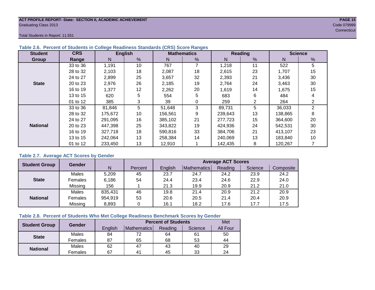#### **ACT PROFILE REPORT- State: SECTION II, ACADEMIC ACHIEVEMENT PAGE 15** Graduating Class 2013 Code 079999

Total Students in Report: 11,551

| <b>Student</b>  | <b>CRS</b> |         | <b>English</b>  |         | <b>Mathematics</b> |         | <b>Reading</b> | <b>Science</b> |    |  |
|-----------------|------------|---------|-----------------|---------|--------------------|---------|----------------|----------------|----|--|
| Group           | Range      | N       | %               | N       | %                  | N       | %              | N              | %  |  |
|                 | 33 to 36   | 1,191   | 10 <sup>°</sup> | 767     |                    | 1,218   | 11             | 522            | 5  |  |
|                 | 28 to 32   | 2,103   | 18              | 2,087   | 18                 | 2,615   | 23             | 1,707          | 15 |  |
|                 | 24 to 27   | 2,899   | 25              | 3,657   | 32                 | 2,393   | 21             | 3,436          | 30 |  |
| <b>State</b>    | 20 to 23   | 2,976   | 26              | 2,185   | 19                 | 2,764   | 24             | 3,463          | 30 |  |
|                 | 16 to 19   | 1,377   | 12              | 2,262   | 20                 | 1,619   | 14             | 1,675          | 15 |  |
|                 | 13 to 15   | 620     | 5               | 554     | 5                  | 683     | 6              | 484            |    |  |
|                 | 01 to 12   | 385     | 3               | 39      | 0                  | 259     | 2              | 264            | 2  |  |
|                 | 33 to 36   | 81,846  | 5               | 51,648  | 3                  | 89,731  | 5              | 36,033         | 2  |  |
|                 | 28 to 32   | 175,672 | 10              | 156,561 | 9                  | 239,643 | 13             | 138,865        | 8  |  |
|                 | 24 to 27   | 291,095 | 16              | 385,102 | 21                 | 277,723 | 15             | 364,600        | 20 |  |
| <b>National</b> | 20 to 23   | 447.398 | 25              | 343,822 | 19                 | 424.936 | 24             | 542.531        | 30 |  |
|                 | 16 to 19   | 327,718 | 18              | 590,816 | 33                 | 384.706 | 21             | 413,107        | 23 |  |
|                 | 13 to 15   | 242.064 | 13              | 258,384 | 14                 | 240,069 | 13             | 183,840        | 10 |  |
|                 | 01 to 12   | 233,450 | 13              | 12,910  |                    | 142,435 | 8              | 120,267        |    |  |

#### **Table 2.6. Percent of Students in College Readiness Standards (CRS) Score Ranges**

#### **Table 2.7. Average ACT Scores by Gender**

| <b>Student Group</b> | <b>Gender</b> |         |         | <b>Average ACT Scores</b> |             |         |         |           |  |  |  |
|----------------------|---------------|---------|---------|---------------------------|-------------|---------|---------|-----------|--|--|--|
|                      |               | N       | Percent | Enalish                   | Mathematics | Reading | Science | Composite |  |  |  |
|                      | Males         | 5,209   | 45      | 23.7                      | 24.7        | 24.2    | 23.9    | 24.2      |  |  |  |
| <b>State</b>         | Females       | 6,186   | 54      | 24.4                      | 23.4        | 24.6    | 22.9    | 24.0      |  |  |  |
|                      | Missing       | 156     |         | 21.3                      | 19.9        | 20.9    | 21.2    | 21.0      |  |  |  |
|                      | Males         | 835,431 | 46      | 19.8                      | 21.4        | 20.9    | 21.2    | 20.9      |  |  |  |
| <b>National</b>      | Females       | 954,919 | 53      | 20.6                      | 20.5        | 21.4    | 20.4    | 20.9      |  |  |  |
|                      | Missing       | 8,893   | 0       | 16.1                      | 18.2        | 17.6    | 17.7    | 17.5      |  |  |  |

#### **Table 2.8. Percent of Students Who Met College Readiness Benchmark Scores by Gender**

| <b>Student Group</b> | <b>Gender</b> |         | <b>Percent of Students</b> |         |         |          |  |  |  |  |
|----------------------|---------------|---------|----------------------------|---------|---------|----------|--|--|--|--|
|                      |               | English | Mathematics                | Reading | Science | All Four |  |  |  |  |
|                      | Males         | 84      | 72                         | 64      | 61      | 50       |  |  |  |  |
| <b>State</b>         | Females       | 87      | 65                         | 68      | 53      | 44       |  |  |  |  |
| <b>National</b>      | Males         | 62      | 47                         | 43      | 40      | 29       |  |  |  |  |
|                      | Females       | 67      | 4 <sup>1</sup>             | 45      | 33      | 24       |  |  |  |  |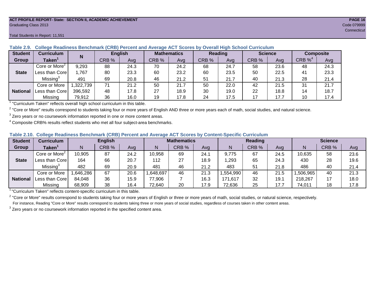#### **ACT PROFILE REPORT- State: SECTION II, ACADEMIC ACHIEVEMENT PAGE 16** Graduating Class 2013 Code 079999

#### Total Students in Report: 11,551

| <b>Student</b>  | Curriculum                              | N        | <b>English</b> |      | <b>Mathematics</b> |      | <b>Reading</b> |      | <b>Science</b> |      | <b>Composite</b> |      |
|-----------------|-----------------------------------------|----------|----------------|------|--------------------|------|----------------|------|----------------|------|------------------|------|
| Group           | Taken $^{\scriptscriptstyle\mathsf{T}}$ |          | CRB %          | Avg  | CRB %              | Avg  | CRB %          | Avg  | CRB %          | Ava  | CRB $\%^4$       | Avg  |
|                 | Core or More <sup>2</sup>               | 9,293    | 88             | 24.3 | 70                 | 24.2 | 68             | 24.7 | 58             | 23.6 | 48               | 24.3 |
| <b>State</b>    | Less than Core                          | ,767     | 80             | 23.3 | 60                 | 23.2 | 60             | 23.5 | 50             | 22.5 | 41               | 23.3 |
|                 | Missing <sup>3</sup>                    | 491      | 69             | 20.8 | 46                 | 21.2 | 51             | 21.7 | 40             | 21.3 | 28               | 21.4 |
|                 | Core or More                            | ,322,739 | 71             | 21.2 | 50                 | 21.7 | 50             | 22.0 | 42             | 21.5 | 31               | 21.7 |
| <b>National</b> | Less than Core।                         | 396,592  | 48             | 17.8 | 27                 | 18.9 | 30             | 19.0 | 22             | 18.8 | 14               | 18.7 |
|                 | Missing                                 | 79,912   | 36             | 16.0 | 19                 | 17.8 | 24             | 17.5 | 17             | 17.7 | 10               | 17.4 |

#### **Table 2.9. College Readiness Benchmark (CRB) Percent and Average ACT Scores by Overall High School Curriculum**

<sup>1</sup> "Curriculum Taken" reflects overall high school curriculum in this table.

 $^2$  "Core or More" results correspond to students taking four or more years of English AND three or more years each of math, social studies, and natural science.

 $3$  Zero years or no coursework information reported in one or more content areas.

 $4$  Composite CRB% results reflect students who met all four subject-area benchmarks.

#### **Table 2.10. College Readiness Benchmark (CRB) Percent and Average ACT Scores by Content-Specific Curriculum**

| <b>Student</b>  | Curriculum                | <b>English</b> |       |      | <b>Mathematics</b> |       |      | Reading  |       |      | <b>Science</b> |       |      |
|-----------------|---------------------------|----------------|-------|------|--------------------|-------|------|----------|-------|------|----------------|-------|------|
| Group           | <b>Taken</b>              |                | CRB % | Avg  |                    | CRB % | Avg  | Ν        | CRB % | Avg  | N              | CRB % | Avg  |
|                 | Core or More <sup>2</sup> | 10,905         | 87    | 24.2 | 10,958             | 69    | 24.1 | 9,775    | 67    | 24.5 | 10,635         | 58    | 23.6 |
| <b>State</b>    | Less than Core            | 164            | 66    | 20.7 | 112                | 27    | 18.9 | ,293     | 65    | 24.3 | 430            | 28    | 19.6 |
|                 | Missing <sup>3</sup>      | 482            | 69    | 20.9 | 481                | 46    | 21.2 | 483      | 51    | 21.8 | 486            | 40    | 21.4 |
|                 | Core or More              | ,646,286       | 67    | 20.6 | ,648,697           | 46    | 21.3 | .554,990 | 46    | 21.5 | .506.965       | 40    | 21.3 |
| <b>National</b> | Less than Core            | 84,048         | 36    | 15.9 | 77,906             |       | 16.3 | 171,617  | 32    | 19.7 | 218,267        |       | 18.0 |
|                 | Missing                   | 68,909         | 38    | 16.4 | 72,640             | 20    | 17.9 | 72,636   | 25    | 17.7 | 74,011         |       | 17.8 |

<sup>1</sup>"Curriculum Taken" reflects content-specific curriculum in this table.

<sup>2</sup> "Core or More" results correspond to students taking four or more years of English or three or more years of math, social studies, or natural science, respectively. For instance, Reading "Core or More" results correspond to students taking three or more years of social studies, regardless of courses taken in other content areas.

 $3$  Zero years or no coursework information reported in the specified content area.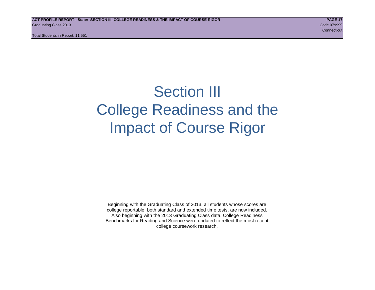Total Students in Report: 11,551

# Section III College Readiness and the Impact of Course Rigor

Beginning with the Graduating Class of 2013, all students whose scores are college reportable, both standard and extended time tests, are now included. Also beginning with the 2013 Graduating Class data, College Readiness Benchmarks for Reading and Science were updated to reflect the most recent college coursework research.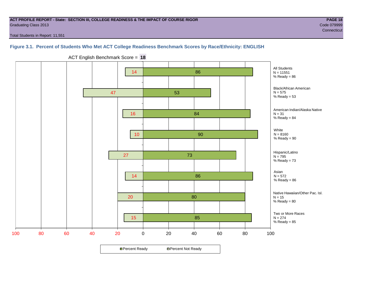#### **ACT PROFILE REPORT - State: SECTION III, COLLEGE READINESS & THE IMPACT OF COURSE RIGOR PAGE 18** Graduating Class 2013 Code 079999

**Connecticut** Connecticut Connecticut Connecticut Connecticut Connecticut Connecticut Connecticut

Total Students in Report: 11,551

# **Figure 3.1. Percent of Students Who Met ACT College Readiness Benchmark Scores by Race/Ethnicity: ENGLISH**



ACT English Benchmark Score = **18**

**□ Percent Ready DPercent Not Ready**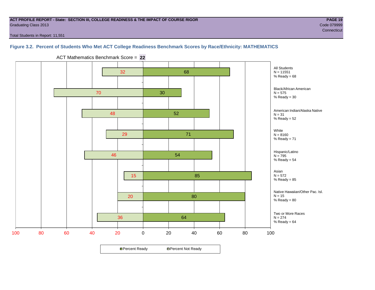#### **ACT PROFILE REPORT - State: SECTION III, COLLEGE READINESS & THE IMPACT OF COURSE RIGOR PAGE 19** Graduating Class 2013 Code 079999

Total Students in Report: 11,551

# **Figure 3.2. Percent of Students Who Met ACT College Readiness Benchmark Scores by Race/Ethnicity: MATHEMATICS**



ACT Mathematics Benchmark Score = **22**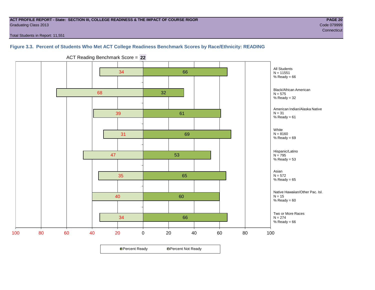#### **ACT PROFILE REPORT - State: SECTION III, COLLEGE READINESS & THE IMPACT OF COURSE RIGOR PAGE 20** Graduating Class 2013 Code 079999

Total Students in Report: 11,551

**Figure 3.3. Percent of Students Who Met ACT College Readiness Benchmark Scores by Race/Ethnicity: READING**



ACT Reading Benchmark Score = **22**

**□ Percent Ready DPercent Not Ready**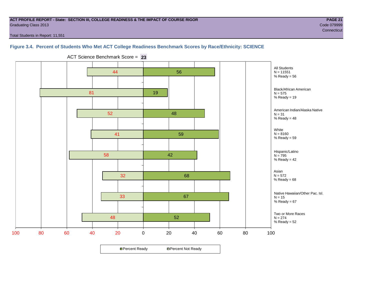#### **ACT PROFILE REPORT - State: SECTION III, COLLEGE READINESS & THE IMPACT OF COURSE RIGOR PAGE 21** Graduating Class 2013 Code 079999

**Connecticut** Connecticut Connecticut Connecticut Connecticut Connecticut Connecticut Connecticut

Total Students in Report: 11,551

# **Figure 3.4. Percent of Students Who Met ACT College Readiness Benchmark Scores by Race/Ethnicity: SCIENCE**



ACT Science Benchmark Score = **23**

**□ Percent Ready DPercent Not Ready**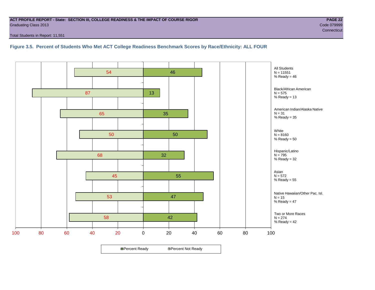#### **ACT PROFILE REPORT - State: SECTION III, COLLEGE READINESS & THE IMPACT OF COURSE RIGOR PAGE 22** Graduating Class 2013 Code 079999

Total Students in Report: 11,551

**Figure 3.5. Percent of Students Who Met ACT College Readiness Benchmark Scores by Race/Ethnicity: ALL FOUR**

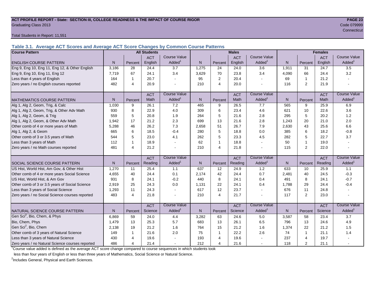#### **ACT PROFILE REPORT - State: SECTION III, COLLEGE READINESS & THE IMPACT OF COURSE RIGOR PAGE 23** Graduating Class 2013 Code 079999

Total Students in Report: 11,551

**Table 3.1. Average ACT Scores and Average ACT Score Changes by Common Course Patterns**

| <b>Course Pattern</b>                            |       |                | <b>All Students</b> |                        |              |                | <b>Males</b> |                     |              |                | <b>Females</b> |                        |
|--------------------------------------------------|-------|----------------|---------------------|------------------------|--------------|----------------|--------------|---------------------|--------------|----------------|----------------|------------------------|
|                                                  |       |                | <b>ACT</b>          | <b>Course Value</b>    |              |                | <b>ACT</b>   | <b>Course Value</b> |              |                | <b>ACT</b>     | <b>Course Value</b>    |
| <b>ENGLISH COURSE PATTERN</b>                    | N.    | Percent        | English             | Added <sup>1</sup>     | N            | Percent        | English      | Added <sup>1</sup>  | N            | Percent        | English        | A d d e d <sup>1</sup> |
| Eng 9, Eng 10, Eng 11, Eng 12, & Other English   | 3,186 | 28             | 24.4                | 3.7                    | 1,275        | 24             | 24.0         | 3.6                 | 1,911        | 31             | 24.7           | 3.5                    |
| Eng 9, Eng 10, Eng 11, Eng 12                    | 7.719 | 67             | 24.1                | 3.4                    | 3,629        | 70             | 23.8         | 3.4                 | 4,090        | 66             | 24.4           | 3.2                    |
| Less than 4 years of English                     | 164   |                | 20.7                |                        | 95           | 2              | 20.4         | $\sim$              | 69           | $\mathbf{1}$   | 21.2           |                        |
| Zero years / no English courses reported         | 482   | $\overline{4}$ | 20.9                |                        | 210          | $\overline{4}$ | 20.0         |                     | 116          | 2              | 21.9           |                        |
|                                                  |       |                | <b>ACT</b>          | <b>Course Value</b>    |              |                | <b>ACT</b>   | <b>Course Value</b> |              |                | <b>ACT</b>     | <b>Course Value</b>    |
| <b>MATHEMATICS COURSE PATTERN</b>                | N.    | Percent        | Math                | Added <sup>1</sup>     | N            | Percent        | Math         | Added <sup>1</sup>  | N            | Percent        | Math           | A d d e d <sup>1</sup> |
| Alg 1, Alg 2, Geom, Trig, & Calc                 | 1,030 | 9              | 26.1                | 7.2                    | 465          | 9              | 26.5         | 7.7                 | 565          | 9              | 25.9           | 6.9                    |
| Alg 1, Alg 2, Geom, Trig, & Other Adv Math       | 930   | 8              | 22.9                | 4.0                    | 309          | 6              | 23.4         | 4.6                 | 621          | 10             | 22.6           | 3.6                    |
| Alg 1, Alg 2, Geom, & Trig                       | 559   | 5              | 20.8                | 1.9                    | 264          | 5              | 21.6         | 2.8                 | 295          | 5              | 20.2           | 1.2                    |
| Alg 1, Alg 2, Geom, & Other Adv Math             | 1,942 | 17             | 21.2                | 2.3                    | 699          | 13             | 21.6         | 2.8                 | 1,243        | 20             | 21.0           | 2.0                    |
| Other comb of 4 or more years of Math            | 5,288 | 46             | 26.2                | 7.3                    | 2,658        | 51             | 26.7         | 7.9                 | 2,630        | 43             | 25.6           | 6.6                    |
| Alg 1, Alg 2, & Geom                             | 665   | 6              | 18.5                | $-0.4$                 | 280          | 5              | 18.8         | 0.0                 | 385          | 6              | 18.2           | $-0.8$                 |
| Other comb of 3 or 3.5 years of Math             | 544   | 5              | 23.0                | 4.1                    | 262          | 5              | 23.3         | 4.5                 | 282          | 5              | 22.7           | 3.7                    |
| Less than 3 years of Math                        | 112   | -1             | 18.9                |                        | 62           | $\mathbf{1}$   | 18.8         | $\sim$              | 50           | $\mathbf{1}$   | 19.0           |                        |
| Zero years / no Math courses reported            | 481   | $\overline{4}$ | 21.2                |                        | 210          | $\overline{4}$ | 21.8         | $\mathbf{r}$        | 115          | 2              | 22.0           |                        |
|                                                  |       |                | <b>ACT</b>          | <b>Course Value</b>    |              |                | <b>ACT</b>   | <b>Course Value</b> |              |                | <b>ACT</b>     | <b>Course Value</b>    |
| <b>SOCIAL SCIENCE COURSE PATTERN</b>             | N.    | Percent        | Reading             | Added <sup>1</sup>     | N            | Percent        | Reading      | Added               | N            | Percent        | Reading        | $A dded^1$             |
| US Hist, World Hist, Am Gov, & Other Hist        | 1,270 | 11             | 25.4                | 1.1                    | 637          | 12             | 24.9         | 1.2                 | 633          | 10             | 25.9           | 1.1                    |
| Other comb of 4 or more years Social Science     | 4,655 | 40             | 24.4                | 0.1                    | 2,174        | 42             | 24.4         | 0.7                 | 2,481        | 40             | 24.5           | $-0.3$                 |
| US Hist, World Hist, & Am Gov                    | 931   | 8              | 24.1                | $-0.2$                 | 440          | 8              | 24.1         | 0.4                 | 491          | 8              | 24.1           | $-0.7$                 |
| Other comb of 3 or 3.5 years of Social Science   | 2,919 | 25             | 24.3                | 0.0                    | 1,131        | 22             | 24.1         | 0.4                 | 1,788        | 29             | 24.4           | $-0.4$                 |
| Less than 3 years of Social Science              | 1,293 | 11             | 24.3                |                        | 617          | 12             | 23.7         | $\blacksquare$      | 676          | 11             | 24.8           |                        |
| Zero years / no Social Science courses reported  | 483   | $\overline{4}$ | 21.8                |                        | 210          | $\overline{4}$ | 21.7         | $\overline{a}$      | 117          | 2              | 23.0           | $\overline{a}$         |
|                                                  |       |                | <b>ACT</b>          | Course Value           |              |                | <b>ACT</b>   | Course Value        |              |                | <b>ACT</b>     | <b>Course Value</b>    |
| <b>INATURAL SCIENCE COURSE PATTERN</b>           | N.    | Percent        | Science             | A d d e d <sup>1</sup> | $\mathsf{N}$ | Percent        | Science      | Added <sup>1</sup>  | $\mathsf{N}$ | Percent        | Science        | A d d e d <sup>1</sup> |
| Gen Sci <sup>2</sup> , Bio, Chem, & Phys         | 6,869 | 59             | 24.0                | 4.4                    | 3,282        | 63             | 24.6         | 5.0                 | 3,587        | 58             | 23.4           | 3.7                    |
| Bio, Chem, Phys                                  | 1,479 | 13             | 25.3                | 5.7                    | 683          | 13             | 26.1         | 6.5                 | 796          | 13             | 24.6           | 4.9                    |
| Gen Sci <sup>2</sup> , Bio, Chem                 | 2,138 | 19             | 21.2                | 1.6                    | 764          | 15             | 21.2         | 1.6                 | 1,374        | 22             | 21.2           | 1.5                    |
| Other comb of 3 years of Natural Science         | 149   |                | 21.6                | 2.0                    | 75           | $\mathbf{1}$   | 22.2         | 2.6                 | 74           | $\mathbf{1}$   | 21.1           | 1.4                    |
| Less than 3 years of Natural Science             | 430   | 4              | 19.6                |                        | 193          | $\overline{4}$ | 19.6         |                     | 237          | $\overline{4}$ | 19.7           |                        |
| Zero years / no Natural Science courses reported | 486   | $\overline{4}$ | 21.4                |                        | 212          | $\overline{4}$ | 21.6         | $\sim$              | 118          | $\overline{2}$ | 21.1           |                        |

<sup>1</sup>Course value added is defined as the average ACT score change compared to course sequences in which students took

less than four years of English or less than three years of Mathematics, Social Science or Natural Science.

<sup>2</sup>Includes General, Physical and Earth Sciences.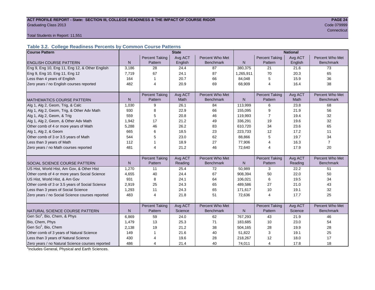#### ACT PROFILE REPORT - State: SECTION III, COLLEGE READINESS & THE IMPACT OF COURSE RIGOR **PAGE 24** Graduating Class 2013 Code 079999

records and the connecticut of the connecticut of the connecticut of the connecticut of the connecticut of the

Total Students in Report: 11,551

## **Table 3.2. College Readiness Percents by Common Course Patterns**

| <b>Course Pattern</b>                            |                |                       | <b>State</b> |                  | <b>National</b> |                       |         |                  |  |
|--------------------------------------------------|----------------|-----------------------|--------------|------------------|-----------------|-----------------------|---------|------------------|--|
|                                                  |                | <b>Percent Taking</b> | Avg ACT      | Percent Who Met  |                 | <b>Percent Taking</b> | Avg ACT | Percent Who Met  |  |
| <b>ENGLISH COURSE PATTERN</b>                    | $\mathsf{N}$   | Pattern               | English      | <b>Benchmark</b> | $\mathsf{N}$    | Pattern               | English | <b>Benchmark</b> |  |
| Eng 9, Eng 10, Eng 11, Eng 12, & Other English   | 3,186          | 28                    | 24.4         | 87               | 380,375         | 21                    | 21.6    | 73               |  |
| Eng 9, Eng 10, Eng 11, Eng 12                    | 7,719          | 67                    | 24.1         | 87               | 1,265,911       | 70                    | 20.3    | 65               |  |
| Less than 4 years of English                     | 164            | 1                     | 20.7         | 66               | 84,048          | 5                     | 15.9    | 36               |  |
| Zero years / no English courses reported         | 482            | $\overline{4}$        | 20.9         | 69               | 68,909          | 4                     | 16.4    | 38               |  |
|                                                  |                |                       |              |                  |                 |                       |         |                  |  |
|                                                  |                | <b>Percent Taking</b> | Avg ACT      | Percent Who Met  |                 | <b>Percent Taking</b> | Avg ACT | Percent Who Met  |  |
| <b>MATHEMATICS COURSE PATTERN</b>                | N <sub>1</sub> | Pattern               | <b>Math</b>  | <b>Benchmark</b> | N               | Pattern               | Math    | <b>Benchmark</b> |  |
| Alg 1, Alg 2, Geom, Trig, & Calc                 | 1,030          | 9                     | 26.1         | 84               | 113,999         | 6                     | 23.8    | 68               |  |
| Alg 1, Alg 2, Geom, Trig, & Other Adv Math       | 930            | 8                     | 22.9         | 66               | 155,095         | 9                     | 21.9    | 56               |  |
| Alg 1, Alg 2, Geom, & Trig                       | 559            | 5                     | 20.8         | 46               | 119,993         | 7                     | 19.4    | 32               |  |
| Alg 1, Alg 2, Geom, & Other Adv Math             | 1,942          | 17                    | 21.2         | 49               | 336,291         | 19                    | 19.6    | 32               |  |
| Other comb of 4 or more years of Math            | 5,288          | 46                    | 26.2         | 83               | 610,720         | 34                    | 23.6    | 65               |  |
| Alg 1, Alg 2, & Geom                             | 665            | 6                     | 18.5         | 23               | 223,733         | 12                    | 17.2    | 11               |  |
| Other comb of 3 or 3.5 years of Math             | 544            | 5                     | 23.0         | 62               | 88,866          | 5                     | 19.7    | 34               |  |
| Less than 3 years of Math                        | 112            |                       | 18.9         | 27               | 77,906          | 4                     | 16.3    | $\overline{7}$   |  |
| Zero years / no Math courses reported            | 481            | $\overline{4}$        | 21.2         | 46               | 72,640          | 4                     | 17.9    | 20               |  |
|                                                  |                |                       |              |                  |                 |                       |         |                  |  |
|                                                  |                | <b>Percent Taking</b> | Avg ACT      | Percent Who Met  |                 | <b>Percent Taking</b> | Avg ACT | Percent Who Met  |  |
| SOCIAL SCIENCE COURSE PATTERN                    | $\mathsf{N}$   | Pattern               | Reading      | <b>Benchmark</b> | N               | Pattern               | Reading | <b>Benchmark</b> |  |
| US Hist, World Hist, Am Gov, & Other Hist        | 1,270          | 11                    | 25.4         | 72               | 50,989          | 3                     | 22.2    | 51               |  |
| Other comb of 4 or more years Social Science     | 4,655          | 40                    | 24.4         | 67               | 908,394         | 50                    | 22.0    | 50               |  |
| US Hist, World Hist, & Am Gov                    | 931            | 8                     | 24.1         | 64               | 106,021         | 6                     | 19.5    | 34               |  |
| Other comb of 3 or 3.5 years of Social Science   | 2,919          | 25                    | 24.3         | 65               | 489,586         | 27                    | 21.0    | 43               |  |
| Less than 3 years of Social Science              | 1,293          | 11                    | 24.3         | 65               | 171,617         | 10                    | 19.1    | 32               |  |
| Zero years / no Social Science courses reported  | 483            | 4                     | 21.8         | 51               | 72,636          | 4                     | 17.7    | 25               |  |
|                                                  |                |                       |              |                  |                 |                       |         |                  |  |
|                                                  |                | <b>Percent Taking</b> | Avg ACT      | Percent Who Met  |                 | <b>Percent Taking</b> | Avg ACT | Percent Who Met  |  |
| NATURAL SCIENCE COURSE PATTERN                   | N.             | Pattern               | Science      | <b>Benchmark</b> | N               | Pattern               | Science | <b>Benchmark</b> |  |
| Gen Sci <sup>1</sup> , Bio, Chem, & Phys         | 6,869          | 59                    | 24.0         | 62               | 767,293         | 43                    | 21.9    | 46               |  |
| Bio, Chem, Phys                                  | 1,479          | 13                    | 25.3         | 71               | 183,685         | 10                    | 23.0    | 54               |  |
| Gen Sci <sup>1</sup> , Bio, Chem                 | 2,138          | 19                    | 21.2         | 38               | 504,165         | 28                    | 19.9    | 28               |  |
| Other comb of 3 years of Natural Science         | 149            | 1                     | 21.6         | 40               | 51,822          | 3                     | 19.1    | 25               |  |
| Less than 3 years of Natural Science             | 430            | 4                     | 19.6         | 28               | 218,267         | 12                    | 18.0    | 17               |  |
| Zero years / no Natural Science courses reported | 486            | 4                     | 21.4         | 40               | 74,011          | $\overline{4}$        | 17.8    | 18               |  |

<sup>1</sup>Includes General, Physical and Earth Sciences.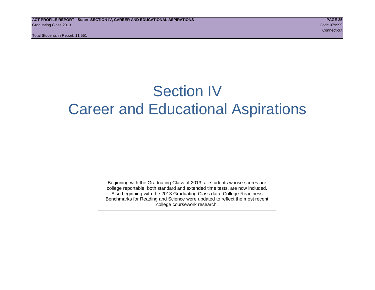Total Students in Report: 11,551

# Section IV Career and Educational Aspirations

Beginning with the Graduating Class of 2013, all students whose scores are college reportable, both standard and extended time tests, are now included. Also beginning with the 2013 Graduating Class data, College Readiness Benchmarks for Reading and Science were updated to reflect the most recent college coursework research.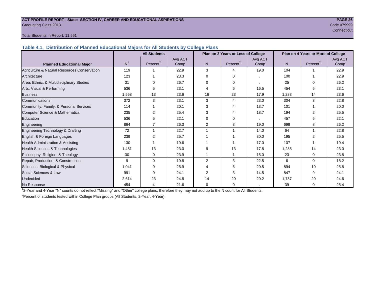#### **ACT PROFILE REPORT - State: SECTION IV, CAREER AND EDUCATIONAL ASPIRATIONS PAGE 26** Graduating Class 2013 Code 079999

# **Connecticut** Connecticut Connecticut Connecticut Connecticut Connecticut Connecticut Connecticut

#### Total Students in Report: 11,551

**Table 4.1. Distribution of Planned Educational Majors for All Students by College Plans**

|                                              | <b>All Students</b><br>Plan on 2 Years or Less of College |                      |         |                |                      |         | Plan on 4 Years or More of College |                      |         |  |
|----------------------------------------------|-----------------------------------------------------------|----------------------|---------|----------------|----------------------|---------|------------------------------------|----------------------|---------|--|
|                                              |                                                           |                      | Avg ACT |                |                      | Avg ACT |                                    |                      | Avg ACT |  |
| <b>Planned Educational Major</b>             | N <sup>1</sup>                                            | Percent <sup>2</sup> | Comp    | N              | Percent <sup>2</sup> | Comp    | N <sub>1</sub>                     | Percent <sup>2</sup> | Comp    |  |
| Agriculture & Natural Resources Conservation | 119                                                       |                      | 22.9    | 3              | $\Lambda$            | 19.0    | 104                                |                      | 22.9    |  |
| Architecture                                 | 123                                                       |                      | 23.3    | $\Omega$       | $\Omega$             |         | 100                                |                      | 22.9    |  |
| Area, Ethnic, & Multidisciplinary Studies    | 31                                                        | $\Omega$             | 26.7    | $\Omega$       | 0                    |         | 25                                 | ∩                    | 26.2    |  |
| Arts: Visual & Performing                    | 536                                                       | 5                    | 23.1    |                | 6                    | 16.5    | 454                                | 5                    | 23.1    |  |
| <b>Business</b>                              | 1,558                                                     | 13                   | 23.6    | 16             | 23                   | 17.9    | 1,283                              | 14                   | 23.6    |  |
| Communications                               | 372                                                       | 3                    | 23.1    | 3              | 4                    | 23.0    | 304                                | 3                    | 22.8    |  |
| Community, Family, & Personal Services       | 114                                                       |                      | 20.1    | 3              |                      | 13.7    | 101                                |                      | 20.0    |  |
| <b>Computer Science &amp; Mathematics</b>    | 235                                                       | $\overline{2}$       | 25.4    |                |                      | 18.7    | 194                                |                      | 25.5    |  |
| Education                                    | 536                                                       | 5                    | 22.1    | 0              | ∩                    |         | 457                                |                      | 22.1    |  |
| Engineering                                  | 864                                                       |                      | 26.3    | 2              | 3                    | 19.0    | 699                                | 8                    | 26.2    |  |
| Engineering Technology & Drafting            | 72                                                        |                      | 22.7    |                |                      | 14.0    | 64                                 |                      | 22.8    |  |
| English & Foreign Languages                  | 239                                                       | 2                    | 25.7    |                |                      | 30.0    | 195                                |                      | 25.5    |  |
| Health Administration & Assisting            | 130                                                       |                      | 19.6    |                |                      | 17.0    | 107                                |                      | 19.4    |  |
| Health Sciences & Technologies               | 1,481                                                     | 13                   | 23.0    | g              | 13                   | 17.8    | 1,285                              | 14                   | 23.0    |  |
| Philosophy, Religion, & Theology             | 30                                                        | 0                    | 23.9    |                |                      | 15.0    | 23                                 | $\Omega$             | 23.8    |  |
| Repair, Production, & Construction           | 9                                                         | $\Omega$             | 19.8    | $\overline{2}$ | 3                    | 22.5    | 6                                  | $\Omega$             | 18.2    |  |
| Sciences: Biological & Physical              | 1,041                                                     | 9                    | 25.9    |                | 6                    | 20.5    | 894                                | 10                   | 25.8    |  |
| Social Sciences & Law                        | 991                                                       | 9                    | 24.1    | $\overline{2}$ | 3                    | 14.5    | 847                                | 9                    | 24.1    |  |
| Undecided                                    | 2,614                                                     | 23                   | 24.8    | 14             | 20                   | 20.2    | 1,787                              | 20                   | 24.6    |  |
| No Response                                  | 454                                                       |                      | 21.6    |                | 0                    |         | 39                                 | 0                    | 25.4    |  |

1 2-Year and 4-Year "N" counts do not reflect "Missing" and "Other" college plans, therefore they may not add up to the N count for All Students.

<sup>2</sup> Percent of students tested within College Plan groups (All Students, 2-Year, 4-Year).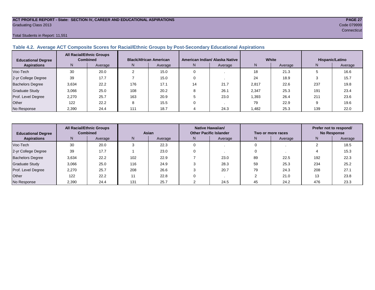#### **ACT PROFILE REPORT - State: SECTION IV, CAREER AND EDUCATIONAL ASPIRATIONS PAGE 27** Graduating Class 2013 Code 079999

Total Students in Report: 11,551

#### **Table 4.2. Average ACT Composite Scores for Racial/Ethnic Groups by Post-Secondary Educational Aspirations**

| <b>Educational Degree</b> | <b>All Racial/Ethnic Groups</b><br><b>Combined</b> |         | <b>Black/African American</b> |         |    | American Indian/ Alaska Native |        | White   | Hispanic/Latino |         |  |
|---------------------------|----------------------------------------------------|---------|-------------------------------|---------|----|--------------------------------|--------|---------|-----------------|---------|--|
| <b>Aspirations</b>        | N.                                                 | Average | N.                            | Average | N. | Average                        | N      | Average | N               | Average |  |
| Voc-Tech                  | 30                                                 | 20.0    | $\sim$                        | 15.0    |    |                                | 18     | 21.3    |                 | 16.6    |  |
| 2-yr College Degree       | 39                                                 | 17.7    |                               | 15.0    |    |                                | 24     | 18.9    |                 | 15.7    |  |
| <b>Bachelors Degree</b>   | 3,634                                              | 22.2    | 176                           | 17.1    | 14 | 21.7                           | 2,817  | 22.6    | 237             | 19.8    |  |
| <b>Graduate Study</b>     | 3,066                                              | 25.0    | 108                           | 20.2    |    | 26.1                           | 2,347  | 25.3    | 191             | 23.4    |  |
| Prof. Level Degree        | 2,270                                              | 25.7    | 163                           | 20.9    |    | 23.0                           | 1,393  | 26.4    | 211             | 23.6    |  |
| Other                     | 122                                                | 22.2    | 8                             | 15.5    |    |                                | 79     | 22.9    |                 | 19.6    |  |
| No Response               | 2,390                                              | 24.4    | 111                           | 18.7    |    | 24.3                           | A82, l | 25.3    | 139             | 22.0    |  |

| <b>Educational Degree</b> | <b>All Racial/Ethnic Groups</b><br><b>Combined</b> |         | Asian |         | <b>Native Hawaiian/</b><br><b>Other Pacific Islander</b> |         | Two or more races |         | Prefer not to respond/<br><b>No Response</b> |         |  |
|---------------------------|----------------------------------------------------|---------|-------|---------|----------------------------------------------------------|---------|-------------------|---------|----------------------------------------------|---------|--|
| <b>Aspirations</b>        | N <sub>1</sub>                                     | Average | N     | Average | N.                                                       | Average | N,                | Average | N                                            | Average |  |
| Voc-Tech                  | 30                                                 | 20.0    |       | 22.3    |                                                          |         |                   |         |                                              | 18.5    |  |
| 2-yr College Degree       | 39                                                 | 17.7    |       | 23.0    |                                                          |         |                   |         |                                              | 15.3    |  |
| <b>Bachelors Degree</b>   | 3,634                                              | 22.2    | 102   | 22.9    |                                                          | 23.0    | 89                | 22.5    | 192                                          | 22.3    |  |
| <b>Graduate Study</b>     | 3,066                                              | 25.0    | 116   | 24.9    |                                                          | 28.3    | 59                | 25.3    | 234                                          | 25.2    |  |
| Prof. Level Degree        | 2,270                                              | 25.7    | 208   | 26.6    |                                                          | 20.7    | 79                | 24.3    | 208                                          | 27.1    |  |
| Other                     | 122                                                | 22.2    | 11    | 22.8    |                                                          |         |                   | 21.0    | 13                                           | 23.8    |  |
| No Response               | 2,390                                              | 24.4    | 131   | 25.7    |                                                          | 24.5    | 45                | 24.2    | 476                                          | 23.3    |  |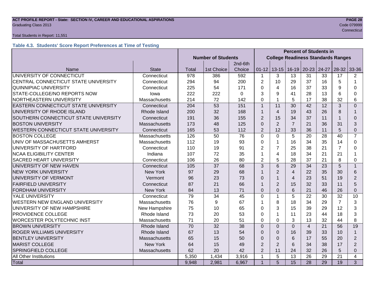#### **ACT PROFILE REPORT - State: SECTION IV, CAREER AND EDUCATIONAL ASPIRATIONS PAGE 28** Code 079999 Craduating Class 2013

#### Total Students in Report: 11,551

### **Table 4.3. Students' Score Report Preferences at Time of Testing**

|                                       |                 |                                                         |                                           |          | <b>Percent of Students in</b> |                |                |                |                     |                |                |
|---------------------------------------|-----------------|---------------------------------------------------------|-------------------------------------------|----------|-------------------------------|----------------|----------------|----------------|---------------------|----------------|----------------|
|                                       |                 | <b>Number of Students</b>                               | <b>College Readiness Standards Ranges</b> |          |                               |                |                |                |                     |                |                |
|                                       |                 |                                                         |                                           | 2nd-6th  |                               |                |                |                |                     |                |                |
| Name                                  | <b>State</b>    | Total                                                   | 1st Choice                                | Choice   | $01 - 12$                     | $13 - 15$      | $16-19$        | $20 - 23$      | 24-27               | $28 - 32$      | 33-36          |
| UNIVERSITY OF CONNECTICUT             | Connecticut     | 978                                                     | 386                                       | 592      | 1                             | 3              | 13             | 31             | 33                  | 17             | $\overline{2}$ |
| CENTRAL CONNECTICUT STATE UNIVERSITY  | Connecticut     | 294                                                     | 94                                        | 200      | $\overline{2}$                | 10             | 29             | 37             | 16                  | 5              | 1              |
| <b>QUINNIPIAC UNIVERSITY</b>          | Connecticut     | 225                                                     | 54                                        | 171      | $\Omega$                      | 4              | 16             | 37             | 33                  | 9              | 0              |
| STATE-COLLEGE/NO REPORTS NOW          | lowa            | 222                                                     | 222                                       | $\Omega$ | 3                             | 9              | 41             | 28             | 13                  | 6              | 0              |
| NORTHEASTERN UNIVERSITY               | Massachusetts   | 214                                                     | 72                                        | 142      | $\Omega$                      | $\mathbf{1}$   | 5              | 17             | 38                  | 32             | 6              |
| EASTERN CONNECTICUT STATE UNIVERSITY  | Connecticut     | 204                                                     | 53                                        | 151      | $\mathbf{1}$                  | 11             | 30             | 42             | 12                  | 3              | $\Omega$       |
| UNIVERSITY OF RHODE ISLAND            | Rhode Island    | 200                                                     | 32                                        | 168      | 1                             | $\overline{4}$ | 19             | 43             | 26                  | 8              | 1              |
| SOUTHERN CONNECTICUT STATE UNIVERSITY | Connecticut     | 191                                                     | 36                                        | 155      | $\overline{2}$                | 15             | 34             | 37             | 11                  |                | $\Omega$       |
| <b>BOSTON UNIVERSITY</b>              | Massachusetts   | 173                                                     | 48                                        | 125      | $\Omega$                      | $\overline{2}$ | $\overline{7}$ | 21             | 36                  | 31             | 3              |
| WESTERN CONNECTICUT STATE UNIVERSITY  | Connecticut     | 165                                                     | 53                                        | 112      | $\overline{2}$                | 12             | 33             | 36             | 11                  | 5              | 0              |
| <b>BOSTON COLLEGE</b>                 | Massachusetts   | 126                                                     | 50                                        | 76       | $\Omega$                      | $\Omega$       | 5              | 20             | 28                  | 40             | $\overline{7}$ |
| UNIV OF MASSACHUSETTS AMHERST         | Massachusetts   | 112                                                     | 19                                        | 93       | 0                             | $\mathbf 1$    | 16             | 34             | 35                  | 14             | $\Omega$       |
| UNIVERSITY OF HARTFORD                | Connecticut     | 110                                                     | 19                                        | 91       | $\overline{2}$                | $\overline{7}$ | 25             | 38             | 21                  | $\overline{7}$ | $\Omega$       |
| <b>NCAA ELIGIBILITY CENTER</b>        | Indiana         | 107                                                     | 72                                        | 35       |                               | $\overline{4}$ | 18             | 34             | 21                  | 21             |                |
| <b>SACRED HEART UNIVERSITY</b>        | Connecticut     | 106                                                     | 26                                        | 80       | $\overline{2}$                | 5              | 28             | 37             | 21                  | 8              | 0              |
| UNIVERSITY OF NEW HAVEN               | Connecticut     | 105                                                     | 37                                        | 68       | 3                             | $6\phantom{1}$ | 29             | 34             | 23                  | 5              | $\mathbf{1}$   |
| <b>NEW YORK UNIVERSITY</b>            | New York        | 97                                                      | 29                                        | 68       |                               | $\overline{2}$ | $\overline{4}$ | 22             | 35                  | 30             | 6              |
| UNIVERSITY OF VERMONT                 | Vermont         | 96                                                      | 23                                        | 73       | $\Omega$                      | $\mathbf{1}$   | 4              | 23             | 51                  | 19             | 2              |
| <b>FAIRFIELD UNIVERSITY</b>           | Connecticut     | 87                                                      | 21                                        | 66       | 1                             | $\overline{2}$ | 15             | 32             | 33                  | 11             | 5              |
| <b>FORDHAM UNIVERSITY</b>             | <b>New York</b> | 84                                                      | 13                                        | 71       | $\Omega$                      | $\overline{0}$ | 6              | 21             | 46                  | 26             | $\overline{0}$ |
| YALE UNIVERSITY                       | Connecticut     | 79                                                      | 34                                        | 45       | $\mathbf 0$                   | $\mathbf{1}$   | 5              | 22             | 30                  | 32             | 10             |
| <b>WESTERN NEW ENGLAND UNIVERSITY</b> | Massachusetts   | 76                                                      | 9                                         | 67       | 1                             | 8              | 18             | 34             | 29                  | $\overline{7}$ | 3              |
| UNIVERSITY OF NEW HAMPSHIRE           | New Hampshire   | 75                                                      | 10                                        | 65       | 0                             | 3              | 15             | 39             | 29                  | 12             | 3              |
| PROVIDENCE COLLEGE                    | Rhode Island    | 73                                                      | 20                                        | 53       | 0                             | $\mathbf 1$    | 11             | 23             | 44                  | 18             | 3              |
| <b>WORCESTER POLYTECHNIC INST</b>     | Massachusetts   | 71                                                      | 20                                        | 51       | $\Omega$                      | $\mathbf 0$    | 3              | 13             | 32                  | 44             | 8              |
| <b>BROWN UNIVERSITY</b>               | Rhode Island    | 70                                                      | 32                                        | 38       | $\Omega$                      | $\overline{0}$ | $\Omega$       | $\overline{4}$ | 21                  | 56             | 19             |
| <b>ROGER WILLIAMS UNIVERSITY</b>      | Rhode Island    | 67                                                      | 13                                        | 54       | $\Omega$                      | $\Omega$       | 16             | 39             | 33                  | 10             | $\mathbf{1}$   |
| <b>BENTLEY UNIVERSITY</b>             | Massachusetts   | 65                                                      | 15                                        | 50       | $\Omega$                      | $\mathbf 0$    | 6              | 17             | 55                  | 20             | $\overline{2}$ |
| <b>MARIST COLLEGE</b>                 | <b>New York</b> | 64<br>15<br>49<br>$\overline{2}$<br>$\overline{2}$<br>6 |                                           | 34       | 38                            | 17             | $\overline{2}$ |                |                     |                |                |
| <b>SPRINGFIELD COLLEGE</b>            | Massachusetts   | 62                                                      | 20                                        | 42       | $\overline{2}$                | 11             | 24             | 32             | 26<br>5<br>$\Omega$ |                |                |
| All Other Institutions                |                 | 5,350                                                   | 1,434                                     | 3,916    | $\mathbf 1$                   | $\overline{5}$ | 13             | 26             | 29                  | 21             | $\overline{4}$ |
| Total                                 |                 | 9,948                                                   | 2,981                                     | 6,967    | $\overline{1}$                | 5              | 15             | 28             | 29                  | 19             | 3              |

**Connecticut** Connecticut Connecticut Connecticut Connecticut Connecticut Connecticut Connecticut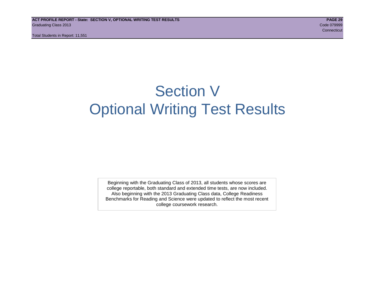# Section V Optional Writing Test Results

Beginning with the Graduating Class of 2013, all students whose scores are college reportable, both standard and extended time tests, are now included. Also beginning with the 2013 Graduating Class data, College Readiness Benchmarks for Reading and Science were updated to reflect the most recent college coursework research.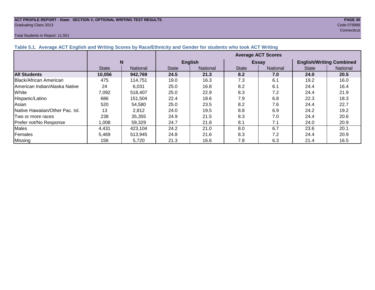#### **ACT PROFILE REPORT - State: SECTION V, OPTIONAL WRITING TEST RESULTS PAGE 30** Graduating Class 2013 Code 079999

#### Total Students in Report: 11,551

**Connecticut** Connecticut Connecticut Connecticut Connecticut Connecticut Connecticut Connecticut

| Table 5.1. Average ACT English and Writing Scores by Race/Ethnicity and Gender for students who took ACT Writing |              |                 |                                 |      |                                 |              |                                 |          |  |  |  |
|------------------------------------------------------------------------------------------------------------------|--------------|-----------------|---------------------------------|------|---------------------------------|--------------|---------------------------------|----------|--|--|--|
|                                                                                                                  |              |                 | <b>Average ACT Scores</b>       |      |                                 |              |                                 |          |  |  |  |
|                                                                                                                  | N            |                 | <b>English</b>                  |      |                                 | <b>Essay</b> | <b>English/Writing Combined</b> |          |  |  |  |
|                                                                                                                  | <b>State</b> | <b>National</b> | <b>National</b><br><b>State</b> |      | <b>National</b><br><b>State</b> |              | <b>State</b>                    | National |  |  |  |
| <b>All Students</b>                                                                                              | 10,056       | 942,769         | 24.5                            | 21.3 | 8.2                             | 7.0          | 24.0                            | 20.5     |  |  |  |
| Black/African American                                                                                           | 475          | 114,751         | 19.0                            | 16.3 | 7.3                             | 6.1          | 19.2                            | 16.0     |  |  |  |
| <b>IAmerican Indian/Alaska Native</b>                                                                            | 24           | 6,031           | 25.0                            | 16.8 | 8.2                             | 6.1          | 24.4                            | 16.4     |  |  |  |
| White                                                                                                            | 7,092        | 518,407         | 25.0                            | 22.9 | 8.3                             | 7.2          | 24.4                            | 21.9     |  |  |  |
| Hispanic/Latino                                                                                                  | 686          | 151,504         | 22.4                            | 18.6 | 7.9                             | 6.8          | 22.3                            | 18.3     |  |  |  |
| Asian                                                                                                            | 520          | 54,580          | 25.0                            | 23.5 | 8.2                             | 7.6          | 24.4                            | 22.7     |  |  |  |
| Native Hawaiian/Other Pac. Isl.                                                                                  | 13           | 2,812           | 24.0                            | 19.5 | 8.8                             | 6.9          | 24.2                            | 19.2     |  |  |  |
| I Two or more races                                                                                              | 238          | 35,355          | 24.9                            | 21.5 | 8.3                             | 7.0          | 24.4                            | 20.6     |  |  |  |
| Prefer not/No Response                                                                                           | 1,008        | 59,329          | 24.7                            | 21.8 | 8.1                             | 7.1          | 24.0                            | 20.9     |  |  |  |
| Males                                                                                                            | 4,431        | 423.104         | 24.2                            | 21.0 | 8.0                             | 6.7          | 23.6                            | 20.1     |  |  |  |
| Females                                                                                                          | 5,469        | 513,945         | 24.8                            | 21.6 | 8.3                             | 7.2          | 24.4                            | 20.9     |  |  |  |
| <b>Missing</b>                                                                                                   | 156          | 5,720           | 21.3                            | 16.6 | 7.8                             | 6.3          | 21.4                            | 16.5     |  |  |  |